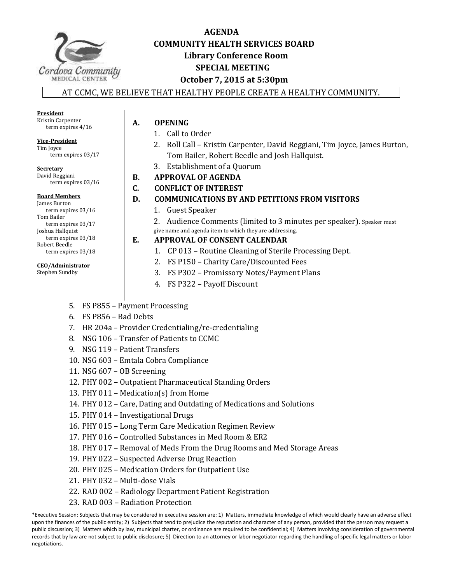

# **AGENDA COMMUNITY HEALTH SERVICES BOARD Library Conference Room SPECIAL MEETING October 7, 2015 at 5:30pm**

AT CCMC, WE BELIEVE THAT HEALTHY PEOPLE CREATE A HEALTHY COMMUNITY.

| President           |
|---------------------|
| Kristin Carpenter   |
| term expires $4/16$ |

**Vice-President**  Tim Joyce

**A. OPENING**

- 1. Call to Order
- 2. Roll Call Kristin Carpenter, David Reggiani, Tim Joyce, James Burton, Tom Bailer, Robert Beedle and Josh Hallquist.
- 3. Establishment of a Quorum
- **B. APPROVAL OF AGENDA**
- **C. CONFLICT OF INTEREST**
- **D. COMMUNICATIONS BY AND PETITIONS FROM VISITORS** 
	- 1. Guest Speaker
	- 2. Audience Comments (limited to 3 minutes per speaker). Speaker must
	- give name and agenda item to which they are addressing.

# **E. APPROVAL OF CONSENT CALENDAR**

- 1. CP 013 Routine Cleaning of Sterile Processing Dept.
- 2. FS P150 Charity Care/Discounted Fees
- 3. FS P302 Promissory Notes/Payment Plans
- 4. FS P322 Payoff Discount
- 5. FS P855 Payment Processing
- 6. FS P856 Bad Debts
- 7. HR 204a Provider Credentialing/re-credentialing
- 8. NSG 106 Transfer of Patients to CCMC
- 9. NSG 119 Patient Transfers
- 10. NSG 603 Emtala Cobra Compliance
- 11. NSG 607 OB Screening
- 12. PHY 002 Outpatient Pharmaceutical Standing Orders
- 13. PHY 011 Medication(s) from Home
- 14. PHY 012 Care, Dating and Outdating of Medications and Solutions
- 15. PHY 014 Investigational Drugs
- 16. PHY 015 Long Term Care Medication Regimen Review
- 17. PHY 016 Controlled Substances in Med Room & ER2
- 18. PHY 017 Removal of Meds From the Drug Rooms and Med Storage Areas
- 19. PHY 022 Suspected Adverse Drug Reaction
- 20. PHY 025 Medication Orders for Outpatient Use
- 21. PHY 032 Multi-dose Vials
- 22. RAD 002 Radiology Department Patient Registration
- 23. RAD 003 Radiation Protection

 term expires 03/17 **Secretary**  David Reggiani

term expires 03/16

#### **Board Members**

James Burton term expires 03/16 Tom Bailer term expires 03/17 Joshua Hallquist term expires 03/18 Robert Beedle term expires 03/18

#### **CEO/Administrator**

Stephen Sundby

<sup>\*</sup>Executive Session: Subjects that may be considered in executive session are: 1) Matters, immediate knowledge of which would clearly have an adverse effect upon the finances of the public entity; 2) Subjects that tend to prejudice the reputation and character of any person, provided that the person may request a public discussion; 3) Matters which by law, municipal charter, or ordinance are required to be confidential; 4) Matters involving consideration of governmental records that by law are not subject to public disclosure; 5) Direction to an attorney or labor negotiator regarding the handling of specific legal matters or labor negotiations.